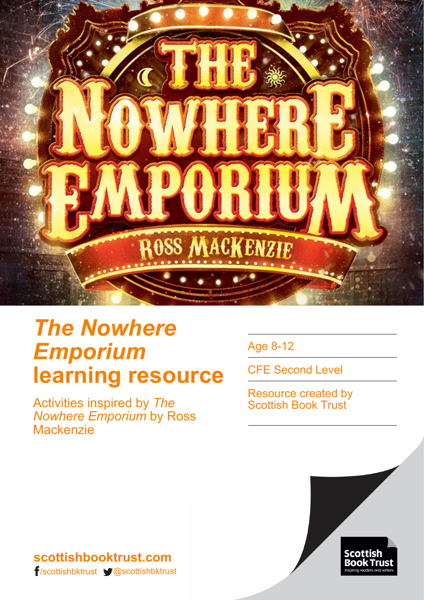

# *The Nowhere Emporium* **learning resource**

Activities inspired by *The Nowhere Emporium* by Ross **Mackenzie** 

Age 8-12

CFE Second Level

Resource created by Scottish Book Trust



### **scottishbooktrust.com** /scottishbktrust @scottishbktrust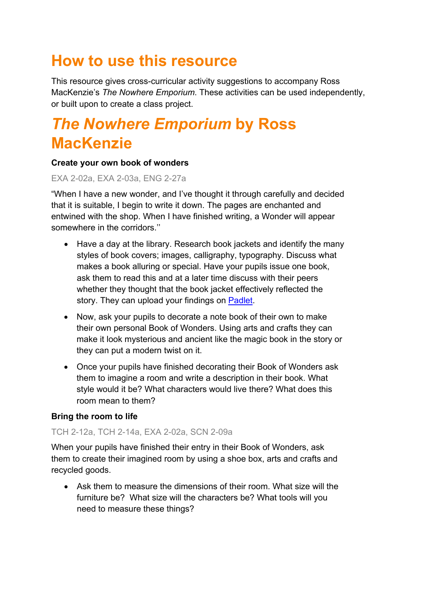## **How to use this resource**

This resource gives cross-curricular activity suggestions to accompany Ross MacKenzie's *The Nowhere Emporium*. These activities can be used independently, or built upon to create a class project.

## *The Nowhere Emporium* **by Ross MacKenzie**

#### **Create your own book of wonders**

#### EXA 2-02a, EXA 2-03a, ENG 2-27a

"When I have a new wonder, and I've thought it through carefully and decided that it is suitable, I begin to write it down. The pages are enchanted and entwined with the shop. When I have finished writing, a Wonder will appear somewhere in the corridors.''

- Have a day at the library. Research book jackets and identify the many styles of book covers; images, calligraphy, typography. Discuss what makes a book alluring or special. Have your pupils issue one book, ask them to read this and at a later time discuss with their peers whether they thought that the book jacket effectively reflected the story. They can upload your findings on [Padlet.](https://padlet.com/)
- Now, ask your pupils to decorate a note book of their own to make their own personal Book of Wonders. Using arts and crafts they can make it look mysterious and ancient like the magic book in the story or they can put a modern twist on it.
- Once your pupils have finished decorating their Book of Wonders ask them to imagine a room and write a description in their book. What style would it be? What characters would live there? What does this room mean to them?

#### **Bring the room to life**

#### TCH 2-12a, TCH 2-14a, EXA 2-02a, SCN 2-09a

When your pupils have finished their entry in their Book of Wonders, ask them to create their imagined room by using a shoe box, arts and crafts and recycled goods.

• Ask them to measure the dimensions of their room. What size will the furniture be? What size will the characters be? What tools will you need to measure these things?